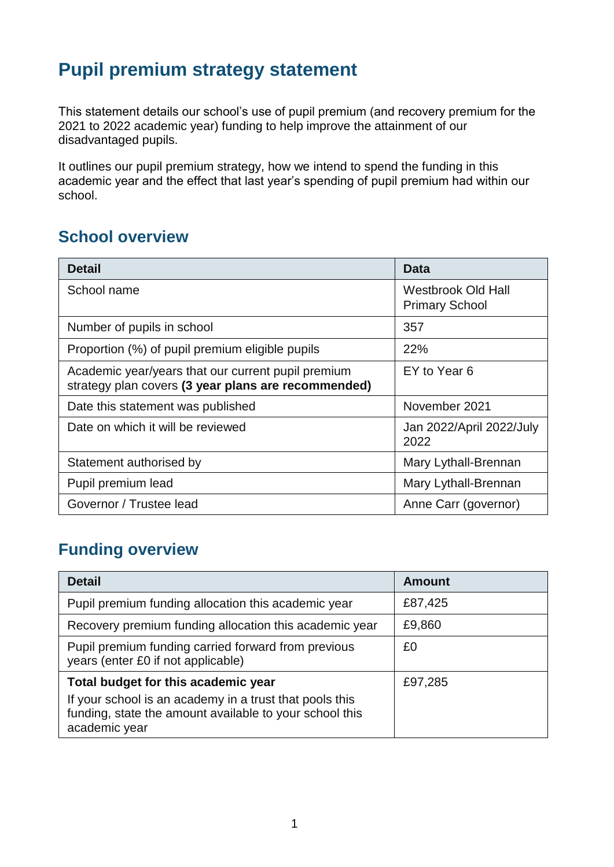# **Pupil premium strategy statement**

This statement details our school's use of pupil premium (and recovery premium for the 2021 to 2022 academic year) funding to help improve the attainment of our disadvantaged pupils.

It outlines our pupil premium strategy, how we intend to spend the funding in this academic year and the effect that last year's spending of pupil premium had within our school.

#### **School overview**

| <b>Detail</b>                                                                                             | Data                                        |
|-----------------------------------------------------------------------------------------------------------|---------------------------------------------|
| School name                                                                                               | Westbrook Old Hall<br><b>Primary School</b> |
| Number of pupils in school                                                                                | 357                                         |
| Proportion (%) of pupil premium eligible pupils                                                           | 22%                                         |
| Academic year/years that our current pupil premium<br>strategy plan covers (3 year plans are recommended) | EY to Year 6                                |
| Date this statement was published                                                                         | November 2021                               |
| Date on which it will be reviewed                                                                         | Jan 2022/April 2022/July<br>2022            |
| Statement authorised by                                                                                   | Mary Lythall-Brennan                        |
| Pupil premium lead                                                                                        | Mary Lythall-Brennan                        |
| Governor / Trustee lead                                                                                   | Anne Carr (governor)                        |

#### **Funding overview**

| <b>Detail</b>                                                                                                                                                              | <b>Amount</b> |
|----------------------------------------------------------------------------------------------------------------------------------------------------------------------------|---------------|
| Pupil premium funding allocation this academic year                                                                                                                        | £87,425       |
| Recovery premium funding allocation this academic year                                                                                                                     | £9,860        |
| Pupil premium funding carried forward from previous<br>years (enter £0 if not applicable)                                                                                  | £0            |
| Total budget for this academic year<br>If your school is an academy in a trust that pools this<br>funding, state the amount available to your school this<br>academic year | £97,285       |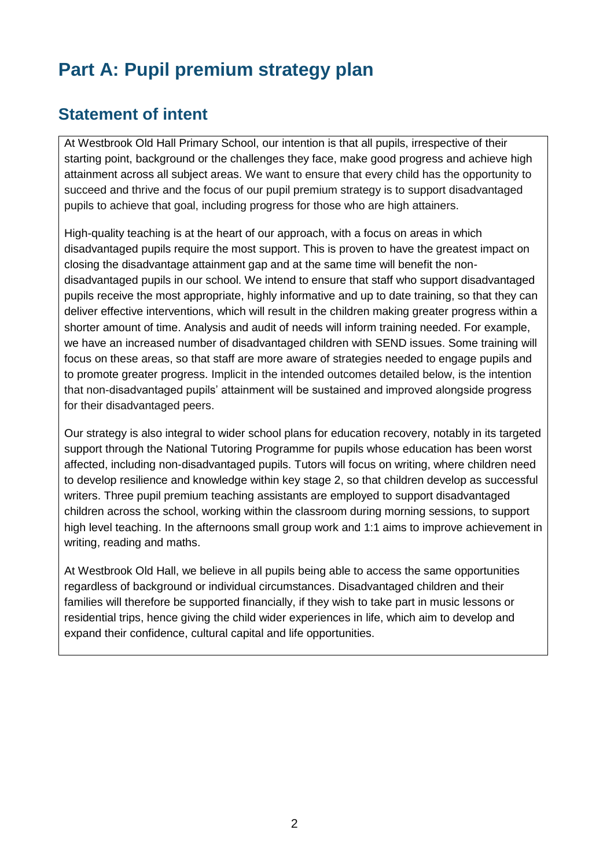# **Part A: Pupil premium strategy plan**

#### **Statement of intent**

At Westbrook Old Hall Primary School, our intention is that all pupils, irrespective of their starting point, background or the challenges they face, make good progress and achieve high attainment across all subject areas. We want to ensure that every child has the opportunity to succeed and thrive and the focus of our pupil premium strategy is to support disadvantaged pupils to achieve that goal, including progress for those who are high attainers.

High-quality teaching is at the heart of our approach, with a focus on areas in which disadvantaged pupils require the most support. This is proven to have the greatest impact on closing the disadvantage attainment gap and at the same time will benefit the nondisadvantaged pupils in our school. We intend to ensure that staff who support disadvantaged pupils receive the most appropriate, highly informative and up to date training, so that they can deliver effective interventions, which will result in the children making greater progress within a shorter amount of time. Analysis and audit of needs will inform training needed. For example, we have an increased number of disadvantaged children with SEND issues. Some training will focus on these areas, so that staff are more aware of strategies needed to engage pupils and to promote greater progress. Implicit in the intended outcomes detailed below, is the intention that non-disadvantaged pupils' attainment will be sustained and improved alongside progress for their disadvantaged peers.

Our strategy is also integral to wider school plans for education recovery, notably in its targeted support through the National Tutoring Programme for pupils whose education has been worst affected, including non-disadvantaged pupils. Tutors will focus on writing, where children need to develop resilience and knowledge within key stage 2, so that children develop as successful writers. Three pupil premium teaching assistants are employed to support disadvantaged children across the school, working within the classroom during morning sessions, to support high level teaching. In the afternoons small group work and 1:1 aims to improve achievement in writing, reading and maths.

At Westbrook Old Hall, we believe in all pupils being able to access the same opportunities regardless of background or individual circumstances. Disadvantaged children and their families will therefore be supported financially, if they wish to take part in music lessons or residential trips, hence giving the child wider experiences in life, which aim to develop and expand their confidence, cultural capital and life opportunities.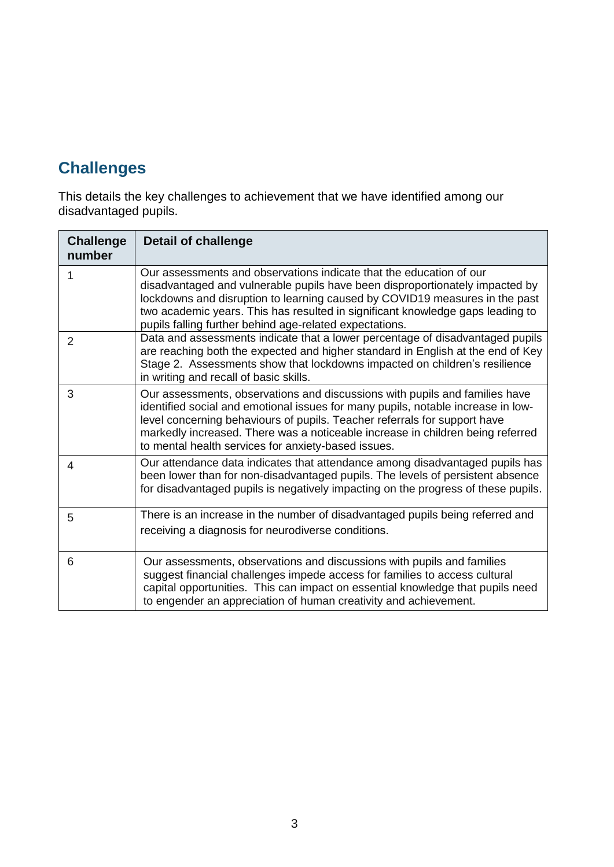## **Challenges**

This details the key challenges to achievement that we have identified among our disadvantaged pupils.

| <b>Challenge</b><br>number | <b>Detail of challenge</b>                                                                                                                                                                                                                                                                                                                                                            |
|----------------------------|---------------------------------------------------------------------------------------------------------------------------------------------------------------------------------------------------------------------------------------------------------------------------------------------------------------------------------------------------------------------------------------|
|                            | Our assessments and observations indicate that the education of our<br>disadvantaged and vulnerable pupils have been disproportionately impacted by<br>lockdowns and disruption to learning caused by COVID19 measures in the past<br>two academic years. This has resulted in significant knowledge gaps leading to<br>pupils falling further behind age-related expectations.       |
| $\overline{2}$             | Data and assessments indicate that a lower percentage of disadvantaged pupils<br>are reaching both the expected and higher standard in English at the end of Key<br>Stage 2. Assessments show that lockdowns impacted on children's resilience<br>in writing and recall of basic skills.                                                                                              |
| 3                          | Our assessments, observations and discussions with pupils and families have<br>identified social and emotional issues for many pupils, notable increase in low-<br>level concerning behaviours of pupils. Teacher referrals for support have<br>markedly increased. There was a noticeable increase in children being referred<br>to mental health services for anxiety-based issues. |
| 4                          | Our attendance data indicates that attendance among disadvantaged pupils has<br>been lower than for non-disadvantaged pupils. The levels of persistent absence<br>for disadvantaged pupils is negatively impacting on the progress of these pupils.                                                                                                                                   |
| 5                          | There is an increase in the number of disadvantaged pupils being referred and<br>receiving a diagnosis for neurodiverse conditions.                                                                                                                                                                                                                                                   |
| 6                          | Our assessments, observations and discussions with pupils and families<br>suggest financial challenges impede access for families to access cultural<br>capital opportunities. This can impact on essential knowledge that pupils need<br>to engender an appreciation of human creativity and achievement.                                                                            |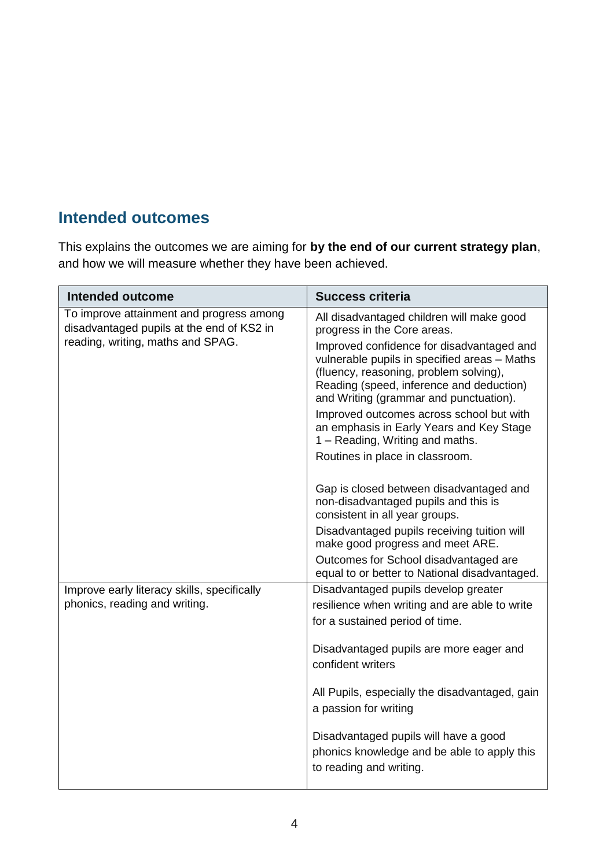#### **Intended outcomes**

This explains the outcomes we are aiming for **by the end of our current strategy plan**, and how we will measure whether they have been achieved.

| <b>Intended outcome</b>                                                               | <b>Success criteria</b>                                                                                                                                                                                                   |
|---------------------------------------------------------------------------------------|---------------------------------------------------------------------------------------------------------------------------------------------------------------------------------------------------------------------------|
| To improve attainment and progress among<br>disadvantaged pupils at the end of KS2 in | All disadvantaged children will make good<br>progress in the Core areas.                                                                                                                                                  |
| reading, writing, maths and SPAG.                                                     | Improved confidence for disadvantaged and<br>vulnerable pupils in specified areas - Maths<br>(fluency, reasoning, problem solving),<br>Reading (speed, inference and deduction)<br>and Writing (grammar and punctuation). |
|                                                                                       | Improved outcomes across school but with<br>an emphasis in Early Years and Key Stage<br>1 – Reading, Writing and maths.                                                                                                   |
|                                                                                       | Routines in place in classroom.                                                                                                                                                                                           |
|                                                                                       | Gap is closed between disadvantaged and<br>non-disadvantaged pupils and this is<br>consistent in all year groups.                                                                                                         |
|                                                                                       | Disadvantaged pupils receiving tuition will<br>make good progress and meet ARE.                                                                                                                                           |
|                                                                                       | Outcomes for School disadvantaged are<br>equal to or better to National disadvantaged.                                                                                                                                    |
| Improve early literacy skills, specifically                                           | Disadvantaged pupils develop greater                                                                                                                                                                                      |
| phonics, reading and writing.                                                         | resilience when writing and are able to write                                                                                                                                                                             |
|                                                                                       | for a sustained period of time.                                                                                                                                                                                           |
|                                                                                       | Disadvantaged pupils are more eager and<br>confident writers                                                                                                                                                              |
|                                                                                       | All Pupils, especially the disadvantaged, gain<br>a passion for writing                                                                                                                                                   |
|                                                                                       | Disadvantaged pupils will have a good<br>phonics knowledge and be able to apply this<br>to reading and writing.                                                                                                           |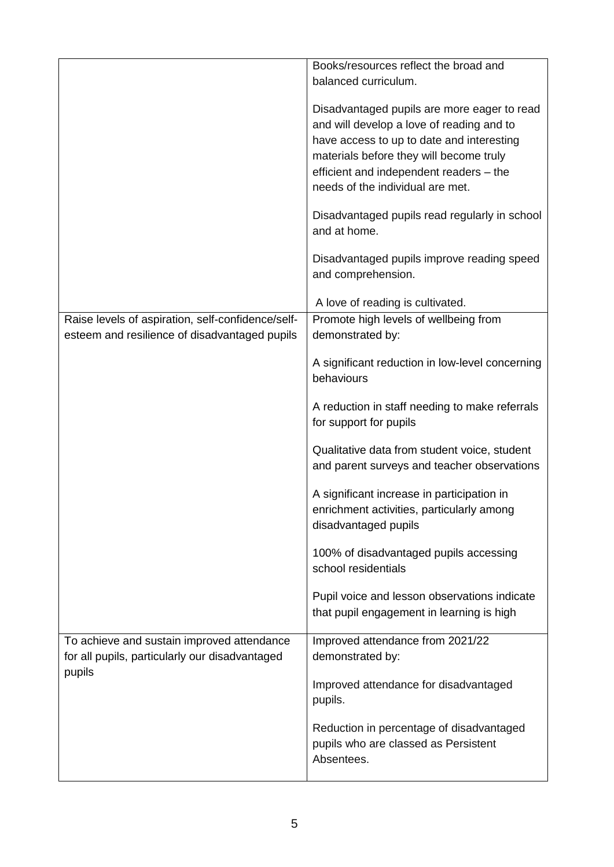|                                                   | Books/resources reflect the broad and           |
|---------------------------------------------------|-------------------------------------------------|
|                                                   | balanced curriculum.                            |
|                                                   |                                                 |
|                                                   | Disadvantaged pupils are more eager to read     |
|                                                   | and will develop a love of reading and to       |
|                                                   | have access to up to date and interesting       |
|                                                   | materials before they will become truly         |
|                                                   | efficient and independent readers - the         |
|                                                   | needs of the individual are met.                |
|                                                   |                                                 |
|                                                   | Disadvantaged pupils read regularly in school   |
|                                                   | and at home.                                    |
|                                                   |                                                 |
|                                                   | Disadvantaged pupils improve reading speed      |
|                                                   | and comprehension.                              |
|                                                   |                                                 |
|                                                   | A love of reading is cultivated.                |
| Raise levels of aspiration, self-confidence/self- | Promote high levels of wellbeing from           |
| esteem and resilience of disadvantaged pupils     | demonstrated by:                                |
|                                                   |                                                 |
|                                                   | A significant reduction in low-level concerning |
|                                                   | behaviours                                      |
|                                                   |                                                 |
|                                                   | A reduction in staff needing to make referrals  |
|                                                   | for support for pupils                          |
|                                                   | Qualitative data from student voice, student    |
|                                                   |                                                 |
|                                                   | and parent surveys and teacher observations     |
|                                                   | A significant increase in participation in      |
|                                                   | enrichment activities, particularly among       |
|                                                   | disadvantaged pupils                            |
|                                                   |                                                 |
|                                                   | 100% of disadvantaged pupils accessing          |
|                                                   | school residentials                             |
|                                                   |                                                 |
|                                                   | Pupil voice and lesson observations indicate    |
|                                                   | that pupil engagement in learning is high       |
|                                                   |                                                 |
| To achieve and sustain improved attendance        | Improved attendance from 2021/22                |
| for all pupils, particularly our disadvantaged    | demonstrated by:                                |
| pupils                                            |                                                 |
|                                                   | Improved attendance for disadvantaged           |
|                                                   | pupils.                                         |
|                                                   |                                                 |
|                                                   | Reduction in percentage of disadvantaged        |
|                                                   | pupils who are classed as Persistent            |
|                                                   | Absentees.                                      |
|                                                   |                                                 |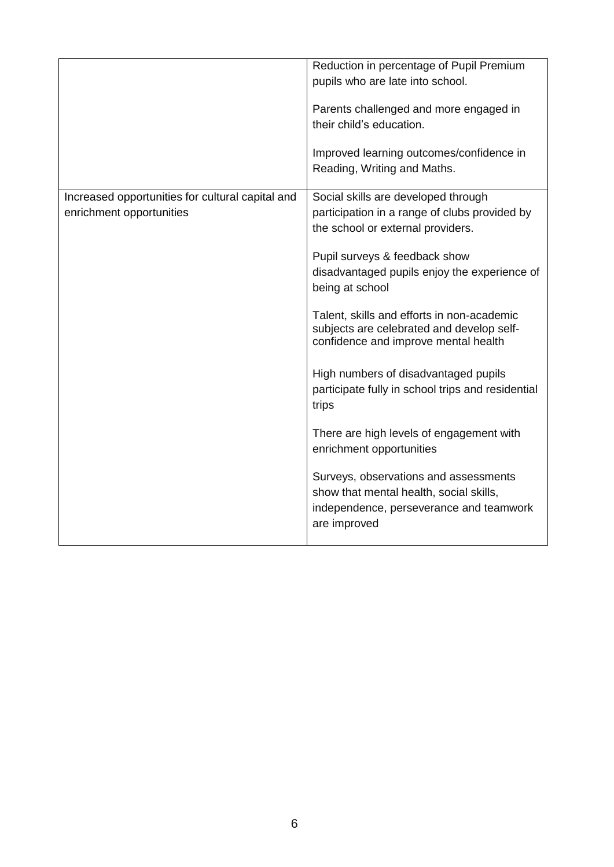|                                                  | Reduction in percentage of Pupil Premium<br>pupils who are late into school.<br>Parents challenged and more engaged in                      |
|--------------------------------------------------|---------------------------------------------------------------------------------------------------------------------------------------------|
|                                                  | their child's education.                                                                                                                    |
|                                                  | Improved learning outcomes/confidence in                                                                                                    |
|                                                  | Reading, Writing and Maths.                                                                                                                 |
| Increased opportunities for cultural capital and | Social skills are developed through                                                                                                         |
| enrichment opportunities                         | participation in a range of clubs provided by<br>the school or external providers.                                                          |
|                                                  | Pupil surveys & feedback show                                                                                                               |
|                                                  | disadvantaged pupils enjoy the experience of<br>being at school                                                                             |
|                                                  | Talent, skills and efforts in non-academic<br>subjects are celebrated and develop self-<br>confidence and improve mental health             |
|                                                  | High numbers of disadvantaged pupils<br>participate fully in school trips and residential<br>trips                                          |
|                                                  | There are high levels of engagement with<br>enrichment opportunities                                                                        |
|                                                  | Surveys, observations and assessments<br>show that mental health, social skills,<br>independence, perseverance and teamwork<br>are improved |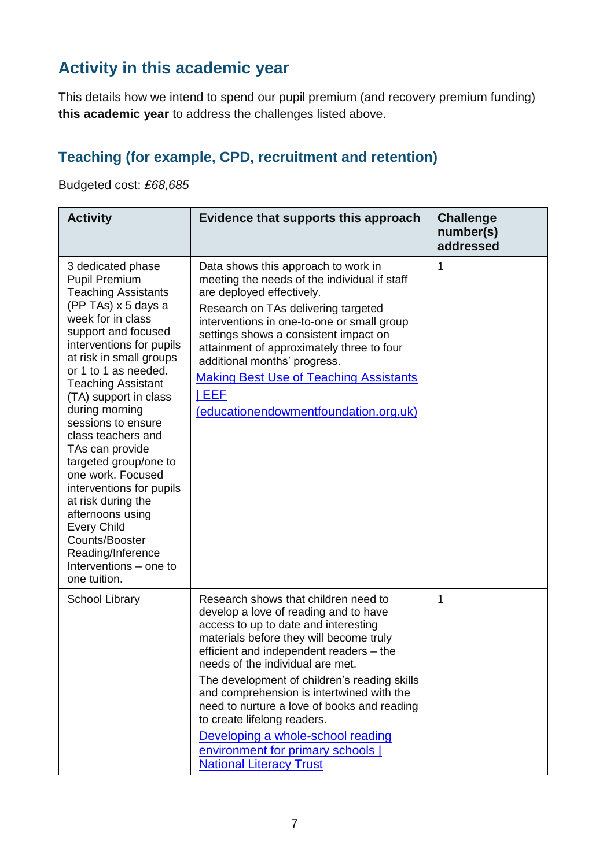### **Activity in this academic year**

This details how we intend to spend our pupil premium (and recovery premium funding) **this academic year** to address the challenges listed above.

#### **Teaching (for example, CPD, recruitment and retention)**

Budgeted cost: *£68,685*

| <b>Activity</b>                                                                                                                                                                                                                                                                                                                                                                                                                                                                                                                                                                             | Evidence that supports this approach                                                                                                                                                                                                                                                                                                                                                                                           | <b>Challenge</b><br>number(s)<br>addressed |
|---------------------------------------------------------------------------------------------------------------------------------------------------------------------------------------------------------------------------------------------------------------------------------------------------------------------------------------------------------------------------------------------------------------------------------------------------------------------------------------------------------------------------------------------------------------------------------------------|--------------------------------------------------------------------------------------------------------------------------------------------------------------------------------------------------------------------------------------------------------------------------------------------------------------------------------------------------------------------------------------------------------------------------------|--------------------------------------------|
| 3 dedicated phase<br><b>Pupil Premium</b><br><b>Teaching Assistants</b><br>(PP TAs) x 5 days a<br>week for in class<br>support and focused<br>interventions for pupils<br>at risk in small groups<br>or 1 to 1 as needed.<br><b>Teaching Assistant</b><br>(TA) support in class<br>during morning<br>sessions to ensure<br>class teachers and<br>TAs can provide<br>targeted group/one to<br>one work. Focused<br>interventions for pupils<br>at risk during the<br>afternoons using<br><b>Every Child</b><br>Counts/Booster<br>Reading/Inference<br>Interventions – one to<br>one tuition. | Data shows this approach to work in<br>meeting the needs of the individual if staff<br>are deployed effectively.<br>Research on TAs delivering targeted<br>interventions in one-to-one or small group<br>settings shows a consistent impact on<br>attainment of approximately three to four<br>additional months' progress.<br><b>Making Best Use of Teaching Assistants</b><br>  EEF<br>(educationendowmentfoundation.org.uk) | 1                                          |
| <b>School Library</b>                                                                                                                                                                                                                                                                                                                                                                                                                                                                                                                                                                       | Research shows that children need to<br>develop a love of reading and to have<br>access to up to date and interesting<br>materials before they will become truly<br>efficient and independent readers - the<br>needs of the individual are met.<br>The development of children's reading skills                                                                                                                                | 1                                          |
|                                                                                                                                                                                                                                                                                                                                                                                                                                                                                                                                                                                             | and comprehension is intertwined with the<br>need to nurture a love of books and reading<br>to create lifelong readers.                                                                                                                                                                                                                                                                                                        |                                            |
|                                                                                                                                                                                                                                                                                                                                                                                                                                                                                                                                                                                             | Developing a whole-school reading<br>environment for primary schools  <br><b>National Literacy Trust</b>                                                                                                                                                                                                                                                                                                                       |                                            |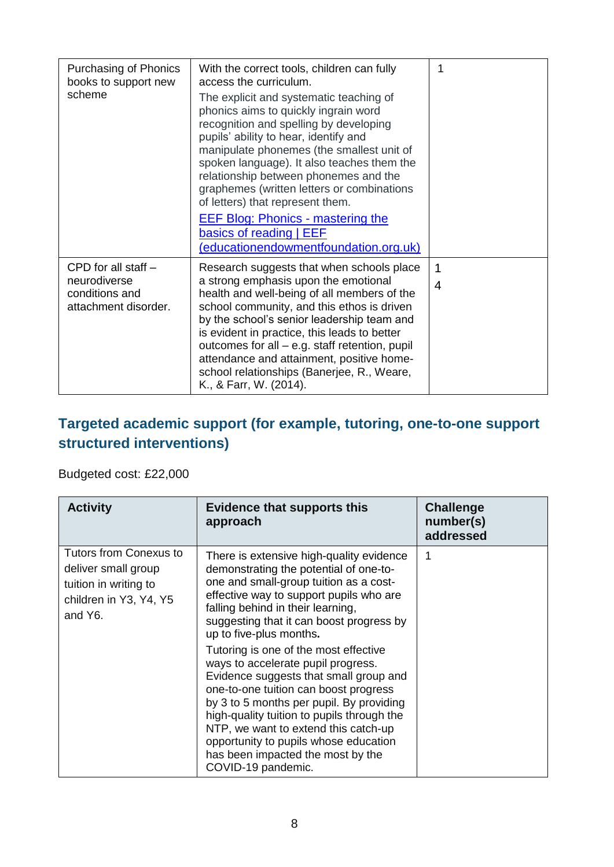| Purchasing of Phonics<br>books to support new<br>scheme                         | With the correct tools, children can fully<br>access the curriculum.<br>The explicit and systematic teaching of<br>phonics aims to quickly ingrain word<br>recognition and spelling by developing<br>pupils' ability to hear, identify and<br>manipulate phonemes (the smallest unit of<br>spoken language). It also teaches them the<br>relationship between phonemes and the<br>graphemes (written letters or combinations<br>of letters) that represent them.<br><b>EEF Blog: Phonics - mastering the</b><br>basics of reading   EEF<br>(educationendowmentfoundation.org.uk) | 1      |
|---------------------------------------------------------------------------------|----------------------------------------------------------------------------------------------------------------------------------------------------------------------------------------------------------------------------------------------------------------------------------------------------------------------------------------------------------------------------------------------------------------------------------------------------------------------------------------------------------------------------------------------------------------------------------|--------|
| CPD for all staff $-$<br>neurodiverse<br>conditions and<br>attachment disorder. | Research suggests that when schools place<br>a strong emphasis upon the emotional<br>health and well-being of all members of the<br>school community, and this ethos is driven<br>by the school's senior leadership team and<br>is evident in practice, this leads to better<br>outcomes for all – e.g. staff retention, pupil<br>attendance and attainment, positive home-<br>school relationships (Banerjee, R., Weare,<br>K., & Farr, W. (2014).                                                                                                                              | 1<br>4 |

#### **Targeted academic support (for example, tutoring, one-to-one support structured interventions)**

Budgeted cost: £22,000

| <b>Activity</b>                                                                                                    | <b>Evidence that supports this</b><br>approach                                                                                                                                                                                                                                                                                                                                                                                                                                                                                                                                                                                                                                              | <b>Challenge</b><br>number(s)<br>addressed |
|--------------------------------------------------------------------------------------------------------------------|---------------------------------------------------------------------------------------------------------------------------------------------------------------------------------------------------------------------------------------------------------------------------------------------------------------------------------------------------------------------------------------------------------------------------------------------------------------------------------------------------------------------------------------------------------------------------------------------------------------------------------------------------------------------------------------------|--------------------------------------------|
| <b>Tutors from Conexus to</b><br>deliver small group<br>tuition in writing to<br>children in Y3, Y4, Y5<br>and Y6. | There is extensive high-quality evidence<br>demonstrating the potential of one-to-<br>one and small-group tuition as a cost-<br>effective way to support pupils who are<br>falling behind in their learning,<br>suggesting that it can boost progress by<br>up to five-plus months.<br>Tutoring is one of the most effective<br>ways to accelerate pupil progress.<br>Evidence suggests that small group and<br>one-to-one tuition can boost progress<br>by 3 to 5 months per pupil. By providing<br>high-quality tuition to pupils through the<br>NTP, we want to extend this catch-up<br>opportunity to pupils whose education<br>has been impacted the most by the<br>COVID-19 pandemic. | 1                                          |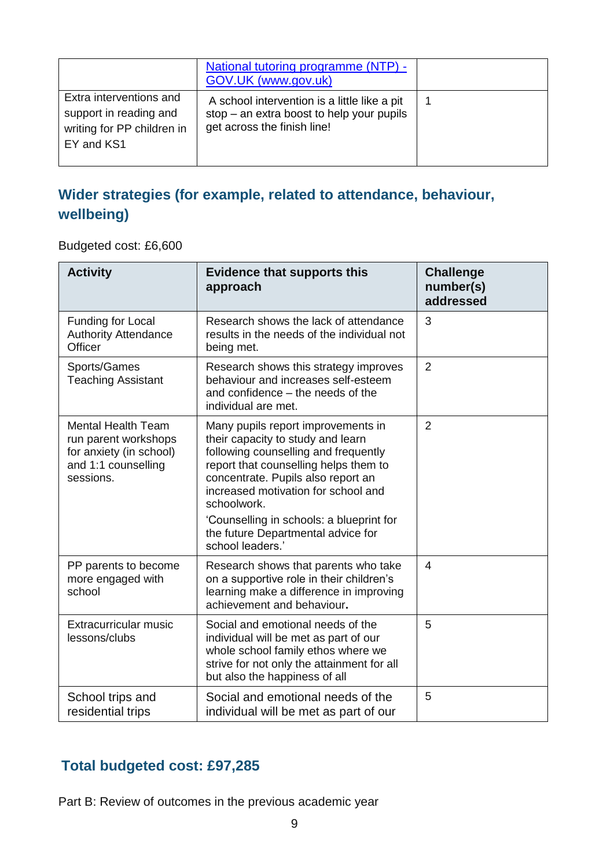|                                                                                               | National tutoring programme (NTP) -<br>GOV.UK (www.gov.uk)                                                                 |  |
|-----------------------------------------------------------------------------------------------|----------------------------------------------------------------------------------------------------------------------------|--|
| Extra interventions and<br>support in reading and<br>writing for PP children in<br>EY and KS1 | A school intervention is a little like a pit<br>$stop - an extra boost to help your pupils$<br>get across the finish line! |  |

#### **Wider strategies (for example, related to attendance, behaviour, wellbeing)**

Budgeted cost: £6,600

| <b>Activity</b>                                                                                                  | <b>Evidence that supports this</b><br>approach                                                                                                                                                                                                       | <b>Challenge</b><br>number(s)<br>addressed |
|------------------------------------------------------------------------------------------------------------------|------------------------------------------------------------------------------------------------------------------------------------------------------------------------------------------------------------------------------------------------------|--------------------------------------------|
| Funding for Local<br><b>Authority Attendance</b><br>Officer                                                      | Research shows the lack of attendance<br>results in the needs of the individual not<br>being met.                                                                                                                                                    | 3                                          |
| Sports/Games<br><b>Teaching Assistant</b>                                                                        | Research shows this strategy improves<br>behaviour and increases self-esteem<br>and confidence – the needs of the<br>individual are met.                                                                                                             | $\overline{2}$                             |
| <b>Mental Health Team</b><br>run parent workshops<br>for anxiety (in school)<br>and 1:1 counselling<br>sessions. | Many pupils report improvements in<br>their capacity to study and learn<br>following counselling and frequently<br>report that counselling helps them to<br>concentrate. Pupils also report an<br>increased motivation for school and<br>schoolwork. | $\overline{2}$                             |
|                                                                                                                  | 'Counselling in schools: a blueprint for<br>the future Departmental advice for<br>school leaders.'                                                                                                                                                   |                                            |
| PP parents to become<br>more engaged with<br>school                                                              | Research shows that parents who take<br>on a supportive role in their children's<br>learning make a difference in improving<br>achievement and behaviour.                                                                                            | $\overline{4}$                             |
| Extracurricular music<br>lessons/clubs                                                                           | Social and emotional needs of the<br>individual will be met as part of our<br>whole school family ethos where we<br>strive for not only the attainment for all<br>but also the happiness of all                                                      | 5                                          |
| School trips and<br>residential trips                                                                            | Social and emotional needs of the<br>individual will be met as part of our                                                                                                                                                                           | 5                                          |

#### **Total budgeted cost: £97,285**

Part B: Review of outcomes in the previous academic year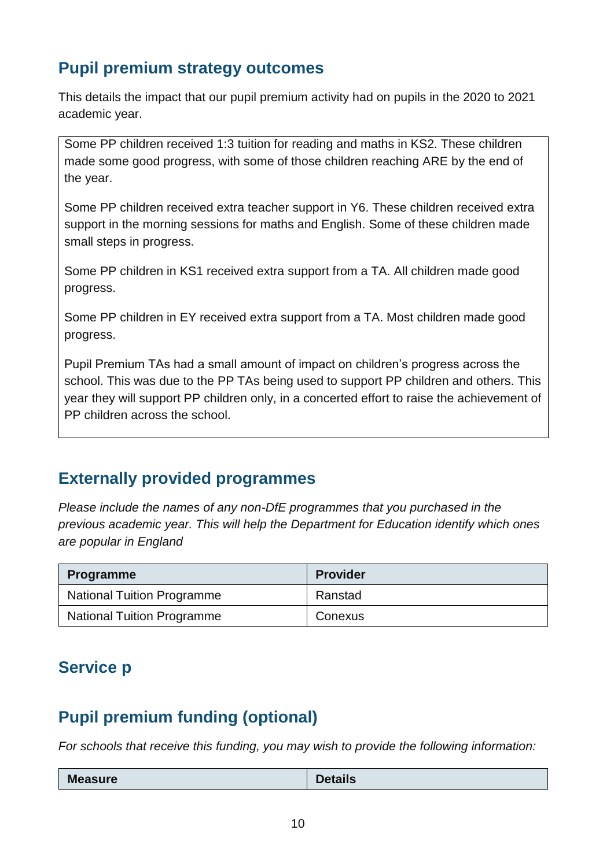#### **Pupil premium strategy outcomes**

This details the impact that our pupil premium activity had on pupils in the 2020 to 2021 academic year.

Some PP children received 1:3 tuition for reading and maths in KS2. These children made some good progress, with some of those children reaching ARE by the end of the year.

Some PP children received extra teacher support in Y6. These children received extra support in the morning sessions for maths and English. Some of these children made small steps in progress.

Some PP children in KS1 received extra support from a TA. All children made good progress.

Some PP children in EY received extra support from a TA. Most children made good progress.

Pupil Premium TAs had a small amount of impact on children's progress across the school. This was due to the PP TAs being used to support PP children and others. This year they will support PP children only, in a concerted effort to raise the achievement of PP children across the school.

#### **Externally provided programmes**

*Please include the names of any non-DfE programmes that you purchased in the previous academic year. This will help the Department for Education identify which ones are popular in England*

| <b>Programme</b>                  | <b>Provider</b> |
|-----------------------------------|-----------------|
| <b>National Tuition Programme</b> | Ranstad         |
| <b>National Tuition Programme</b> | Conexus         |

#### **Service p**

#### **Pupil premium funding (optional)**

*For schools that receive this funding, you may wish to provide the following information:* 

| <b>NA</b><br><b>Measure</b> | <b>Details</b> |
|-----------------------------|----------------|
|                             |                |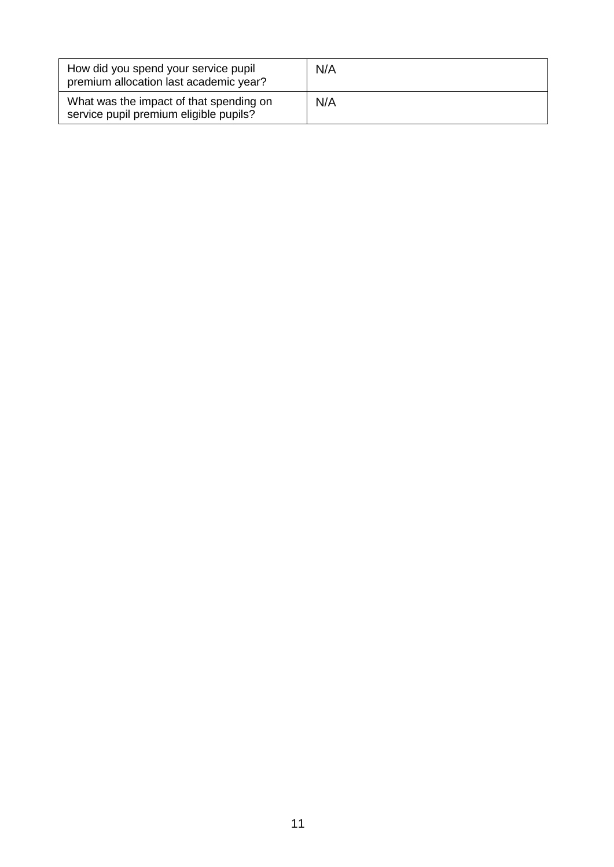| How did you spend your service pupil<br>premium allocation last academic year?    | N/A |
|-----------------------------------------------------------------------------------|-----|
| What was the impact of that spending on<br>service pupil premium eligible pupils? | N/A |